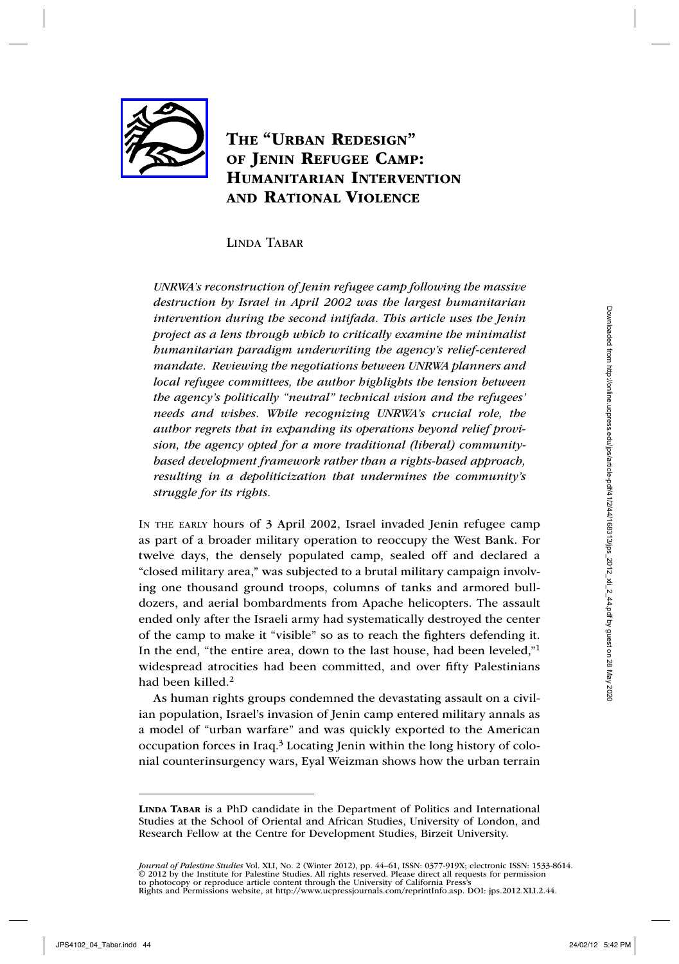

# THE "URBAN REDESIGN" of Jenin Refugee Camp: Humanitarian Intervention and Rational Violence

# LINDA TABAR

*UNRWA's reconstruction of Jenin refugee camp following the massive destruction by Israel in April 2002 was the largest humanitarian intervention during the second intifada. This article uses the Jenin project as a lens through which to critically examine the minimalist humanitarian paradigm underwriting the agency's relief-centered mandate. Reviewing the negotiations between UNRWA planners and local refugee committees, the author highlights the tension between the agency's politically "neutral" technical vision and the refugees' needs and wishes. While recognizing UNRWA's crucial role, the author regrets that in expanding its operations beyond relief provision, the agency opted for a more traditional (liberal) communitybased development framework rather than a rights-based approach, resulting in a depoliticization that undermines the community's struggle for its rights.*  intervention during the second imffada. This arricle uses the Jenin<br>project as a least through which to critically examine the minimalist<br>bumanitarian paradigm underwriting the agency's relief-ceniered<br>mandial: Reviewing

In the early hours of 3 April 2002, Israel invaded Jenin refugee camp as part of a broader military operation to reoccupy the West Bank. For twelve days, the densely populated camp, sealed off and declared a "closed military area," was subjected to a brutal military campaign involving one thousand ground troops, columns of tanks and armored bulldozers, and aerial bombardments from Apache helicopters. The assault ended only after the Israeli army had systematically destroyed the center of the camp to make it "visible" so as to reach the fighters defending it. In the end, "the entire area, down to the last house, had been leveled, $v<sup>1</sup>$ widespread atrocities had been committed, and over fifty Palestinians had been killed.<sup>2</sup>

As human rights groups condemned the devastating assault on a civilian population, Israel's invasion of Jenin camp entered military annals as a model of "urban warfare" and was quickly exported to the American occupation forces in Iraq.3 Locating Jenin within the long history of colonial counterinsurgency wars, Eyal Weizman shows how the urban terrain

Linda Tabar is a PhD candidate in the Department of Politics and International Studies at the School of Oriental and African Studies, University of London, and Research Fellow at the Centre for Development Studies, Birzeit University.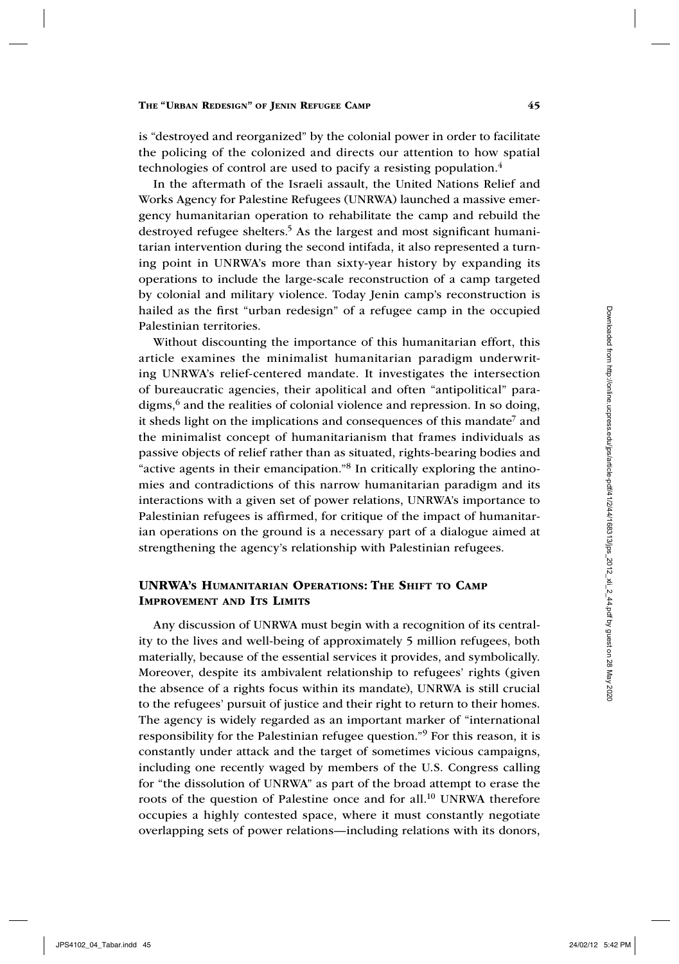is "destroyed and reorganized" by the colonial power in order to facilitate the policing of the colonized and directs our attention to how spatial technologies of control are used to pacify a resisting population. $4$ 

In the aftermath of the Israeli assault, the United Nations Relief and Works Agency for Palestine Refugees (UNRWA) launched a massive emergency humanitarian operation to rehabilitate the camp and rebuild the destroyed refugee shelters.<sup>5</sup> As the largest and most significant humanitarian intervention during the second intifada, it also represented a turning point in UNRWA's more than sixty-year history by expanding its operations to include the large-scale reconstruction of a camp targeted by colonial and military violence. Today Jenin camp's reconstruction is hailed as the first "urban redesign" of a refugee camp in the occupied Palestinian territories.

Without discounting the importance of this humanitarian effort, this article examines the minimalist humanitarian paradigm underwriting UNRWA's relief-centered mandate. It investigates the intersection of bureaucratic agencies, their apolitical and often "antipolitical" paradigms, $6$  and the realities of colonial violence and repression. In so doing, it sheds light on the implications and consequences of this mandate<sup>7</sup> and the minimalist concept of humanitarianism that frames individuals as passive objects of relief rather than as situated, rights-bearing bodies and "active agents in their emancipation."8 In critically exploring the antinomies and contradictions of this narrow humanitarian paradigm and its interactions with a given set of power relations, UNRWA's importance to Palestinian refugees is affirmed, for critique of the impact of humanitarian operations on the ground is a necessary part of a dialogue aimed at strengthening the agency's relationship with Palestinian refugees. Hailed as the first "urban redesign" of a refugee camp in the occupied<br>Without discounting the importance of this humanitarian effort, this<br>article-examines the minimialist humanitarian paradigm underwrit-<br>ing UNNWAS reli

# UNRWA's Humanitarian Operations: The Shift to Camp Improvement and Its Limits

Any discussion of UNRWA must begin with a recognition of its centrality to the lives and well-being of approximately 5 million refugees, both materially, because of the essential services it provides, and symbolically. Moreover, despite its ambivalent relationship to refugees' rights (given the absence of a rights focus within its mandate), UNRWA is still crucial to the refugees' pursuit of justice and their right to return to their homes. The agency is widely regarded as an important marker of "international responsibility for the Palestinian refugee question."9 For this reason, it is constantly under attack and the target of sometimes vicious campaigns, including one recently waged by members of the U.S. Congress calling for "the dissolution of UNRWA" as part of the broad attempt to erase the roots of the question of Palestine once and for all.<sup>10</sup> UNRWA therefore occupies a highly contested space, where it must constantly negotiate overlapping sets of power relations—including relations with its donors,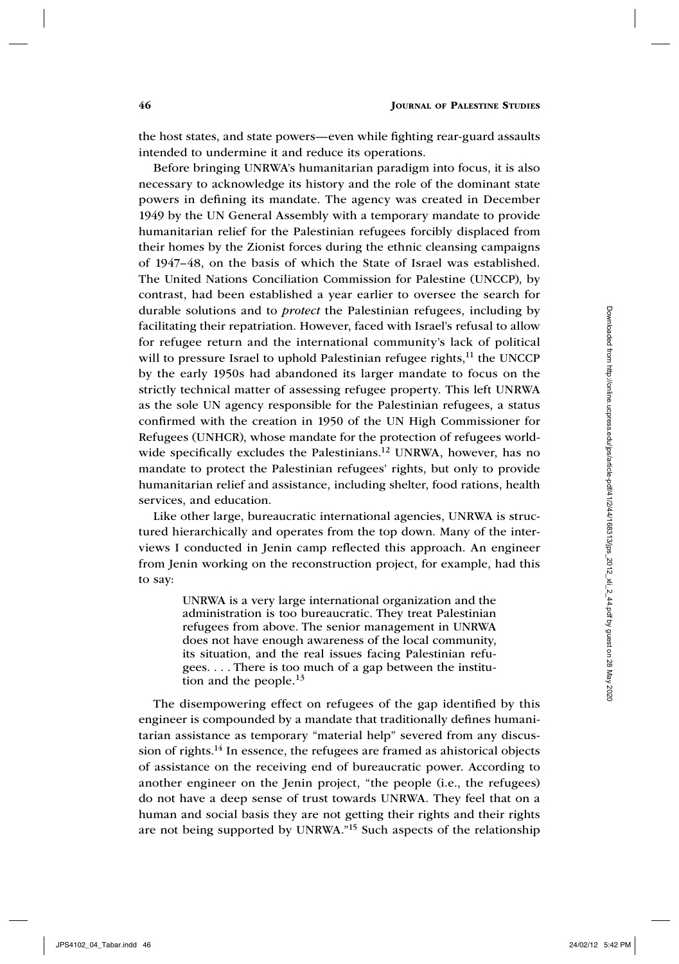the host states, and state powers—even while fighting rear-guard assaults intended to undermine it and reduce its operations.

Before bringing UNRWA's humanitarian paradigm into focus, it is also necessary to acknowledge its history and the role of the dominant state powers in defining its mandate. The agency was created in December 1949 by the UN General Assembly with a temporary mandate to provide humanitarian relief for the Palestinian refugees forcibly displaced from their homes by the Zionist forces during the ethnic cleansing campaigns of 1947–48, on the basis of which the State of Israel was established. The United Nations Conciliation Commission for Palestine (UNCCP), by contrast, had been established a year earlier to oversee the search for durable solutions and to *protect* the Palestinian refugees, including by facilitating their repatriation. However, faced with Israel's refusal to allow for refugee return and the international community's lack of political will to pressure Israel to uphold Palestinian refugee rights, $^{11}$  the UNCCP by the early 1950s had abandoned its larger mandate to focus on the strictly technical matter of assessing refugee property. This left UNRWA as the sole UN agency responsible for the Palestinian refugees, a status confirmed with the creation in 1950 of the UN High Commissioner for Refugees (UNHCR), whose mandate for the protection of refugees worldwide specifically excludes the Palestinians.<sup>12</sup> UNRWA, however, has no mandate to protect the Palestinian refugees' rights, but only to provide humanitarian relief and assistance, including shelter, food rations, health services, and education. durable solutions and to *probet* the Palesinian refugees, including by for refuge cerum and the intermational community's lack of political will to pressure Israel to uphold Palestinian refugee rights,<sup>14</sup> the UNCC by the

Like other large, bureaucratic international agencies, UNRWA is structured hierarchically and operates from the top down. Many of the interviews I conducted in Jenin camp reflected this approach. An engineer from Jenin working on the reconstruction project, for example, had this to say:

> UNRWA is a very large international organization and the administration is too bureaucratic. They treat Palestinian refugees from above. The senior management in UNRWA does not have enough awareness of the local community, its situation, and the real issues facing Palestinian refugees. . . . There is too much of a gap between the institution and the people. $13$

The disempowering effect on refugees of the gap identified by this engineer is compounded by a mandate that traditionally defines humanitarian assistance as temporary "material help" severed from any discussion of rights.<sup>14</sup> In essence, the refugees are framed as a historical objects of assistance on the receiving end of bureaucratic power. According to another engineer on the Jenin project, "the people (i.e., the refugees) do not have a deep sense of trust towards UNRWA. They feel that on a human and social basis they are not getting their rights and their rights are not being supported by UNRWA."15 Such aspects of the relationship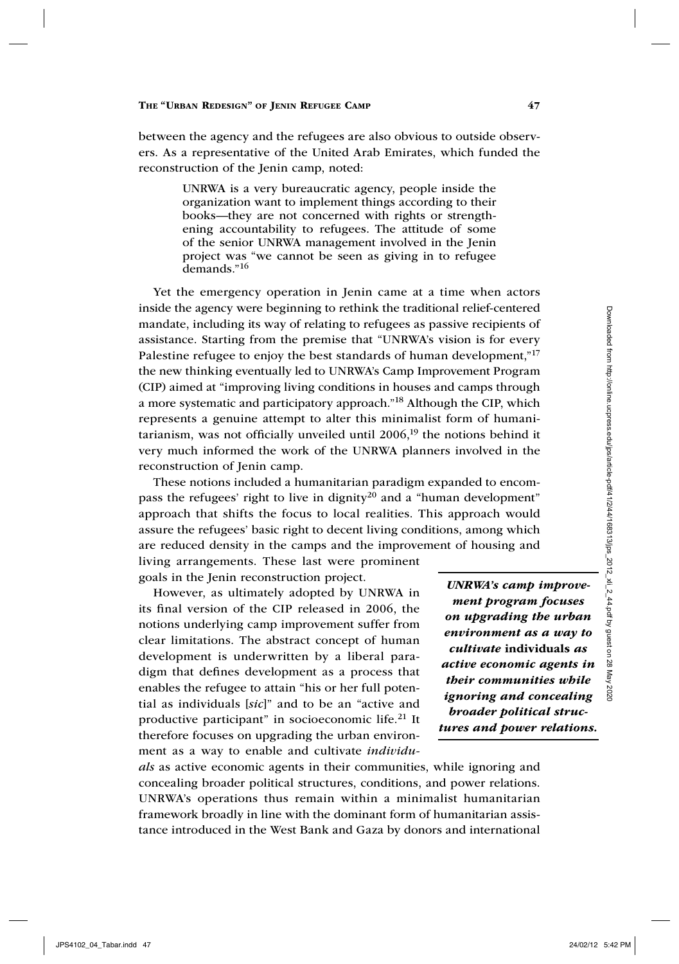### THE "URBAN REDESIGN" OF JENIN REFUGEE CAMP 47

between the agency and the refugees are also obvious to outside observers. As a representative of the United Arab Emirates, which funded the reconstruction of the Jenin camp, noted:

> UNRWA is a very bureaucratic agency, people inside the organization want to implement things according to their books*—*they are not concerned with rights or strengthening accountability to refugees. The attitude of some of the senior UNRWA management involved in the Jenin project was "we cannot be seen as giving in to refugee demands."<sup>16</sup>

Yet the emergency operation in Jenin came at a time when actors inside the agency were beginning to rethink the traditional relief-centered mandate, including its way of relating to refugees as passive recipients of assistance. Starting from the premise that "UNRWA's vision is for every Palestine refugee to enjoy the best standards of human development,"<sup>17</sup> the new thinking eventually led to UNRWA's Camp Improvement Program (CIP) aimed at "improving living conditions in houses and camps through a more systematic and participatory approach."18 Although the CIP, which represents a genuine attempt to alter this minimalist form of humanitarianism, was not officially unveiled until  $2006$ ,<sup>19</sup> the notions behind it very much informed the work of the UNRWA planners involved in the reconstruction of Jenin camp. mass the agency were eigenviants (b) reftinant the traditional relations contain and the preceding from the premission in the premission is for every Palestine. Starting from the premission in the premission is for every

These notions included a humanitarian paradigm expanded to encompass the refugees' right to live in dignity<sup>20</sup> and a "human development" approach that shifts the focus to local realities. This approach would assure the refugees' basic right to decent living conditions, among which are reduced density in the camps and the improvement of housing and living arrangements. These last were prominent goals in the Jenin reconstruction project.

However, as ultimately adopted by UNRWA in its final version of the CIP released in 2006, the notions underlying camp improvement suffer from clear limitations. The abstract concept of human development is underwritten by a liberal paradigm that defines development as a process that enables the refugee to attain "his or her full potential as individuals [*sic*]" and to be an "active and productive participant" in socioeconomic life.<sup>21</sup> It therefore focuses on upgrading the urban environment as a way to enable and cultivate *individu-*

*UNRWA's camp improvement program focuses on upgrading the urban environment as a way to cultivate* individuals *as active economic agents in their communities while ignoring and concealing broader political structures and power relations.* 

*als* as active economic agents in their communities, while ignoring and concealing broader political structures, conditions, and power relations. UNRWA's operations thus remain within a minimalist humanitarian framework broadly in line with the dominant form of humanitarian assistance introduced in the West Bank and Gaza by donors and international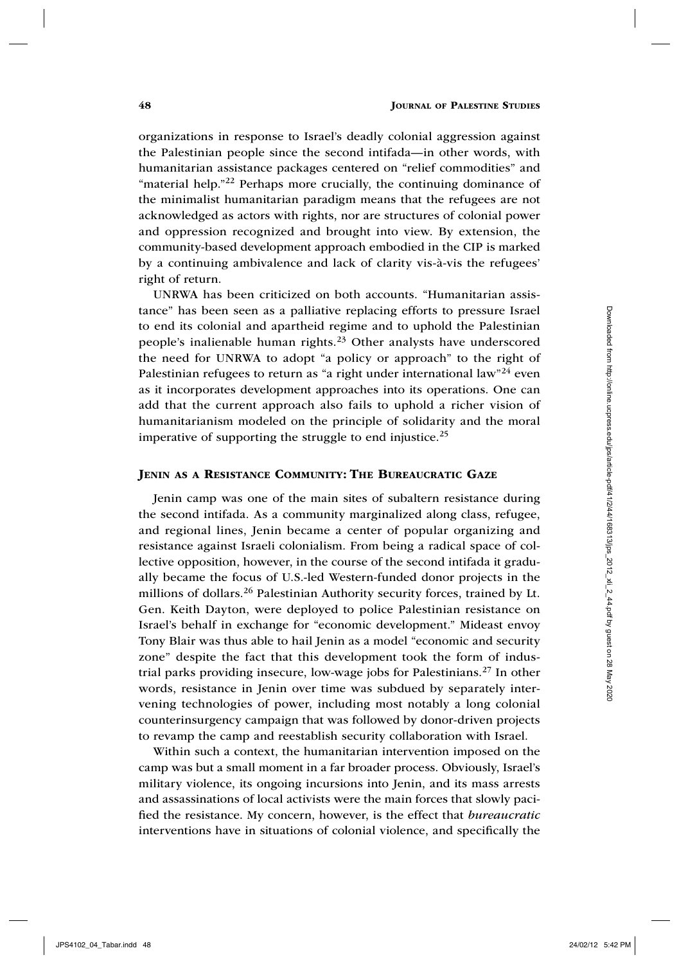organizations in response to Israel's deadly colonial aggression against the Palestinian people since the second intifada—in other words, with humanitarian assistance packages centered on "relief commodities" and "material help."<sup>22</sup> Perhaps more crucially, the continuing dominance of the minimalist humanitarian paradigm means that the refugees are not acknowledged as actors with rights, nor are structures of colonial power and oppression recognized and brought into view. By extension, the community-based development approach embodied in the CIP is marked by a continuing ambivalence and lack of clarity vis-à-vis the refugees' right of return.

UNRWA has been criticized on both accounts. "Humanitarian assistance" has been seen as a palliative replacing efforts to pressure Israel to end its colonial and apartheid regime and to uphold the Palestinian people's inalienable human rights.<sup>23</sup> Other analysts have underscored the need for UNRWA to adopt "a policy or approach" to the right of Palestinian refugees to return as "a right under international law"<sup>24</sup> even as it incorporates development approaches into its operations. One can add that the current approach also fails to uphold a richer vision of humanitarianism modeled on the principle of solidarity and the moral imperative of supporting the struggle to end injustice.<sup>25</sup>

# JENIN AS A RESISTANCE COMMUNITY: THE BUREAUCRATIC GAZE

Jenin camp was one of the main sites of subaltern resistance during the second intifada. As a community marginalized along class, refugee, and regional lines, Jenin became a center of popular organizing and resistance against Israeli colonialism. From being a radical space of collective opposition, however, in the course of the second intifada it gradually became the focus of U.S.-led Western-funded donor projects in the millions of dollars.<sup>26</sup> Palestinian Authority security forces, trained by Lt. Gen. Keith Dayton, were deployed to police Palestinian resistance on Israel's behalf in exchange for "economic development." Mideast envoy Tony Blair was thus able to hail Jenin as a model "economic and security zone" despite the fact that this development took the form of industrial parks providing insecure, low-wage jobs for Palestinians.<sup>27</sup> In other words, resistance in Jenin over time was subdued by separately intervening technologies of power, including most notably a long colonial counterinsurgency campaign that was followed by donor-driven projects to revamp the camp and reestablish security collaboration with Israel. tance" has been seen as a palliative replacing efforts to pressure Israel<br>pople's indicated from a rights,<sup>23</sup> Other analysts have understored<br>the need for UNRWA to adopt "a policy or approach" to the right of<br>Palestinian

Within such a context, the humanitarian intervention imposed on the camp was but a small moment in a far broader process. Obviously, Israel's military violence, its ongoing incursions into Jenin, and its mass arrests and assassinations of local activists were the main forces that slowly pacified the resistance. My concern, however, is the effect that *bureaucratic* interventions have in situations of colonial violence, and specifically the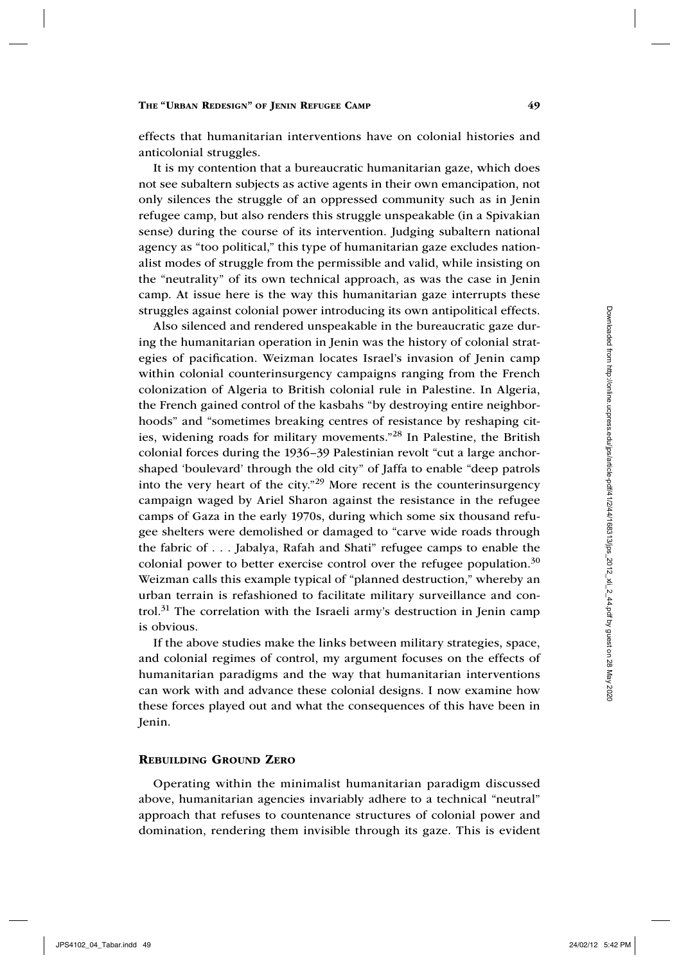effects that humanitarian interventions have on colonial histories and anticolonial struggles.

It is my contention that a bureaucratic humanitarian gaze, which does not see subaltern subjects as active agents in their own emancipation, not only silences the struggle of an oppressed community such as in Jenin refugee camp, but also renders this struggle unspeakable (in a Spivakian sense) during the course of its intervention. Judging subaltern national agency as "too political," this type of humanitarian gaze excludes nationalist modes of struggle from the permissible and valid, while insisting on the "neutrality" of its own technical approach, as was the case in Jenin camp. At issue here is the way this humanitarian gaze interrupts these struggles against colonial power introducing its own antipolitical effects.

Also silenced and rendered unspeakable in the bureaucratic gaze during the humanitarian operation in Jenin was the history of colonial strategies of pacification. Weizman locates Israel's invasion of Jenin camp within colonial counterinsurgency campaigns ranging from the French colonization of Algeria to British colonial rule in Palestine. In Algeria, the French gained control of the kasbahs "by destroying entire neighborhoods" and "sometimes breaking centres of resistance by reshaping cities, widening roads for military movements."28 In Palestine, the British colonial forces during the 1936–39 Palestinian revolt "cut a large anchorshaped 'boulevard' through the old city" of Jaffa to enable "deep patrols into the very heart of the city."<sup>29</sup> More recent is the counterinsurgency campaign waged by Ariel Sharon against the resistance in the refugee camps of Gaza in the early 1970s, during which some six thousand refugee shelters were demolished or damaged to "carve wide roads through the fabric of . . . Jabalya, Rafah and Shati" refugee camps to enable the colonial power to better exercise control over the refugee population.<sup>30</sup> Weizman calls this example typical of "planned destruction," whereby an urban terrain is refashioned to facilitate military surveillance and control.31 The correlation with the Israeli army's destruction in Jenin camp is obvious. struggles against colonial power introducing its own antipolitical effects.<br>
In the humanitation operation in Jeroin was the history of colonial strategies of pacification. Weigran locates Israels' invayion of Jenin camp<br>v

If the above studies make the links between military strategies, space, and colonial regimes of control, my argument focuses on the effects of humanitarian paradigms and the way that humanitarian interventions can work with and advance these colonial designs. I now examine how these forces played out and what the consequences of this have been in Jenin.

# Rebuilding Ground Zero

Operating within the minimalist humanitarian paradigm discussed above, humanitarian agencies invariably adhere to a technical "neutral" approach that refuses to countenance structures of colonial power and domination, rendering them invisible through its gaze. This is evident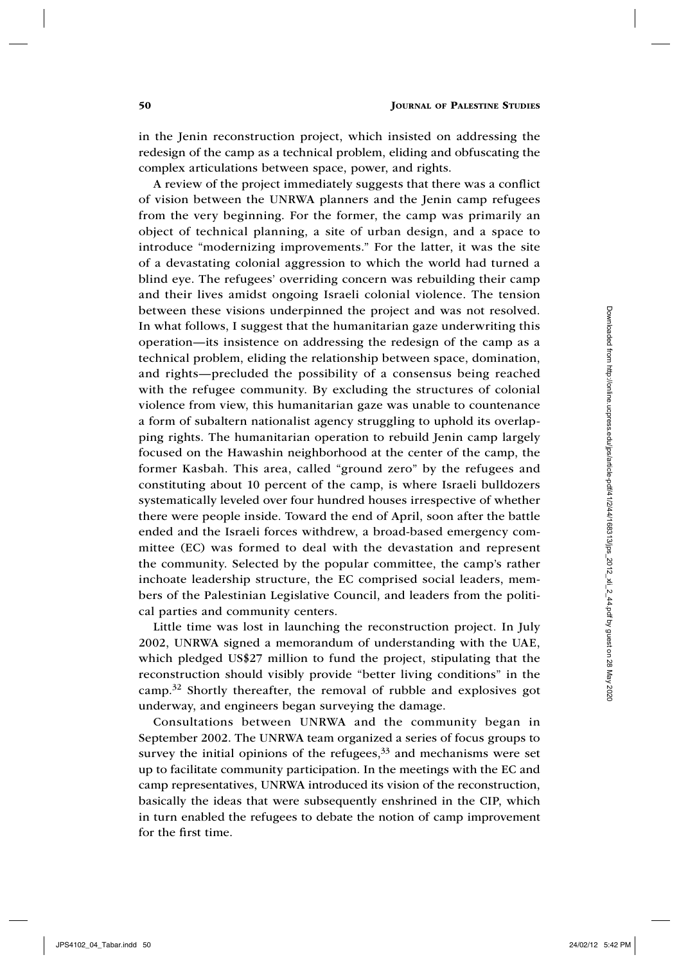in the Jenin reconstruction project, which insisted on addressing the redesign of the camp as a technical problem, eliding and obfuscating the complex articulations between space, power, and rights.

A review of the project immediately suggests that there was a conflict of vision between the UNRWA planners and the Jenin camp refugees from the very beginning. For the former, the camp was primarily an object of technical planning, a site of urban design, and a space to introduce "modernizing improvements." For the latter, it was the site of a devastating colonial aggression to which the world had turned a blind eye. The refugees' overriding concern was rebuilding their camp and their lives amidst ongoing Israeli colonial violence. The tension between these visions underpinned the project and was not resolved. In what follows, I suggest that the humanitarian gaze underwriting this operation—its insistence on addressing the redesign of the camp as a technical problem, eliding the relationship between space, domination, and rights—precluded the possibility of a consensus being reached with the refugee community. By excluding the structures of colonial violence from view, this humanitarian gaze was unable to countenance a form of subaltern nationalist agency struggling to uphold its overlapping rights. The humanitarian operation to rebuild Jenin camp largely focused on the Hawashin neighborhood at the center of the camp, the former Kasbah. This area, called "ground zero" by the refugees and constituting about 10 percent of the camp, is where Israeli bulldozers systematically leveled over four hundred houses irrespective of whether there were people inside. Toward the end of April, soon after the battle ended and the Israeli forces withdrew, a broad-based emergency committee (EC) was formed to deal with the devastation and represent the community. Selected by the popular committee, the camp's rather inchoate leadership structure, the EC comprised social leaders, members of the Palestinian Legislative Council, and leaders from the political parties and community centers. between these visions underpined the project and was not resolved.<br>In what follows, 1 suggest that the humanitarian gaze underwriting this<br>operation—in insistence on addecsing the recelaign of the camp as<br>a etchnical probl

Little time was lost in launching the reconstruction project. In July 2002, UNRWA signed a memorandum of understanding with the UAE, which pledged US\$27 million to fund the project, stipulating that the reconstruction should visibly provide "better living conditions" in the camp.32 Shortly thereafter, the removal of rubble and explosives got underway, and engineers began surveying the damage.

Consultations between UNRWA and the community began in September 2002. The UNRWA team organized a series of focus groups to survey the initial opinions of the refugees,  $33$  and mechanisms were set up to facilitate community participation. In the meetings with the EC and camp representatives, UNRWA introduced its vision of the reconstruction, basically the ideas that were subsequently enshrined in the CIP, which in turn enabled the refugees to debate the notion of camp improvement for the first time.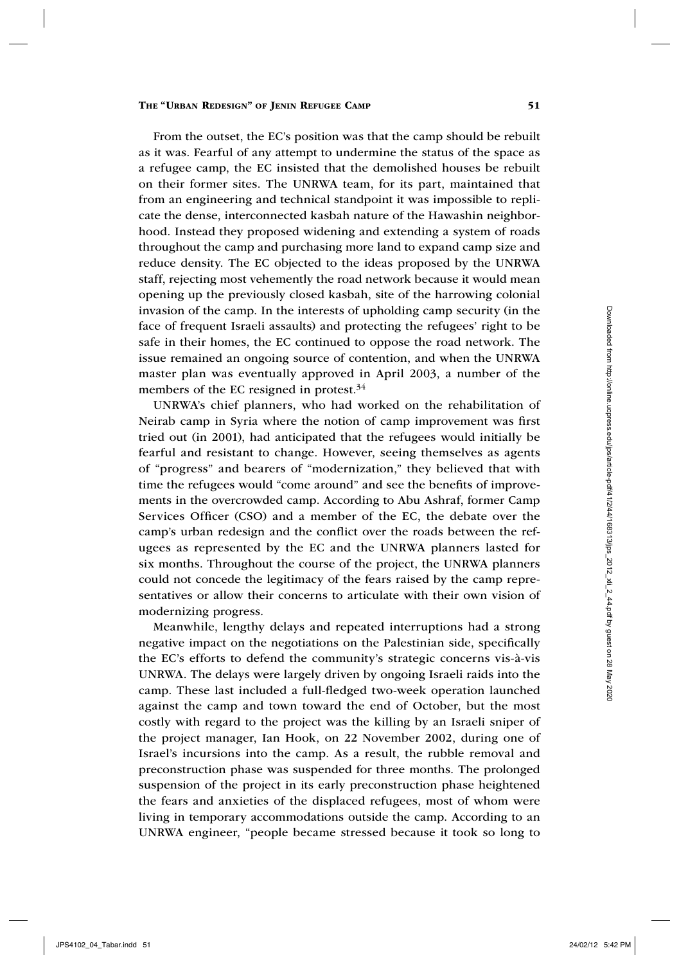### THE "URBAN REDESIGN" OF JENIN REFUGEE CAMP 51

From the outset, the EC's position was that the camp should be rebuilt as it was. Fearful of any attempt to undermine the status of the space as a refugee camp, the EC insisted that the demolished houses be rebuilt on their former sites. The UNRWA team, for its part, maintained that from an engineering and technical standpoint it was impossible to replicate the dense, interconnected kasbah nature of the Hawashin neighborhood. Instead they proposed widening and extending a system of roads throughout the camp and purchasing more land to expand camp size and reduce density. The EC objected to the ideas proposed by the UNRWA staff, rejecting most vehemently the road network because it would mean opening up the previously closed kasbah, site of the harrowing colonial invasion of the camp. In the interests of upholding camp security (in the face of frequent Israeli assaults) and protecting the refugees' right to be safe in their homes, the EC continued to oppose the road network. The issue remained an ongoing source of contention, and when the UNRWA master plan was eventually approved in April 2003, a number of the members of the EC resigned in protest.<sup>34</sup>

UNRWA's chief planners, who had worked on the rehabilitation of Neirab camp in Syria where the notion of camp improvement was first tried out (in 2001), had anticipated that the refugees would initially be fearful and resistant to change. However, seeing themselves as agents of "progress" and bearers of "modernization," they believed that with time the refugees would "come around" and see the benefits of improvements in the overcrowded camp. According to Abu Ashraf, former Camp Services Officer (CSO) and a member of the EC, the debate over the camp's urban redesign and the conflict over the roads between the refugees as represented by the EC and the UNRWA planners lasted for six months. Throughout the course of the project, the UNRWA planners could not concede the legitimacy of the fears raised by the camp representatives or allow their concerns to articulate with their own vision of modernizing progress. invasion of the camp. In the interests of upholding camp security (in the safe: in their homes, the FC continued to oppose the cond ratwork. The safe: in their homes, the Safe: manus eventually approved in April 2003, a nu

Meanwhile, lengthy delays and repeated interruptions had a strong negative impact on the negotiations on the Palestinian side, specifically the EC's efforts to defend the community's strategic concerns vis-à-vis UNRWA. The delays were largely driven by ongoing Israeli raids into the camp. These last included a full-fledged two-week operation launched against the camp and town toward the end of October, but the most costly with regard to the project was the killing by an Israeli sniper of the project manager, Ian Hook, on 22 November 2002, during one of Israel's incursions into the camp. As a result, the rubble removal and preconstruction phase was suspended for three months. The prolonged suspension of the project in its early preconstruction phase heightened the fears and anxieties of the displaced refugees, most of whom were living in temporary accommodations outside the camp. According to an UNRWA engineer, "people became stressed because it took so long to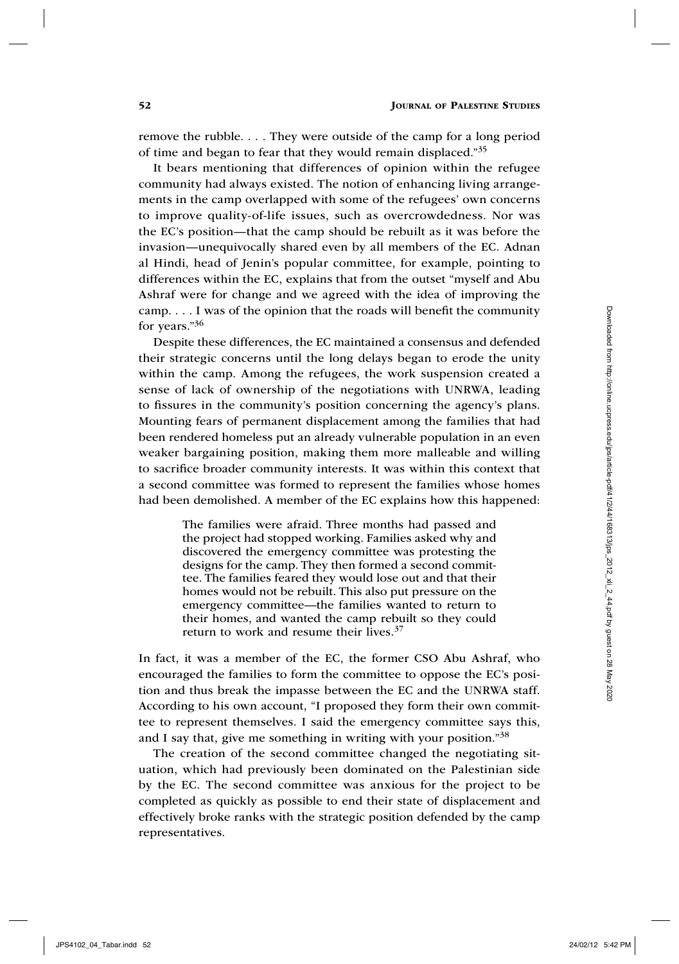remove the rubble. . . . They were outside of the camp for a long period of time and began to fear that they would remain displaced."35

It bears mentioning that differences of opinion within the refugee community had always existed. The notion of enhancing living arrangements in the camp overlapped with some of the refugees' own concerns to improve quality-of-life issues, such as overcrowdedness. Nor was the EC's position—that the camp should be rebuilt as it was before the invasion—unequivocally shared even by all members of the EC. Adnan al Hindi, head of Jenin's popular committee, for example, pointing to differences within the EC, explains that from the outset "myself and Abu Ashraf were for change and we agreed with the idea of improving the camp. . . . I was of the opinion that the roads will benefit the community for years."36

Despite these differences, the EC maintained a consensus and defended their strategic concerns until the long delays began to erode the unity within the camp. Among the refugees, the work suspension created a sense of lack of ownership of the negotiations with UNRWA, leading to fissures in the community's position concerning the agency's plans. Mounting fears of permanent displacement among the families that had been rendered homeless put an already vulnerable population in an even weaker bargaining position, making them more malleable and willing to sacrifice broader community interests. It was within this context that a second committee was formed to represent the families whose homes had been demolished. A member of the EC explains how this happened: camp. ... I was of the opinion that the roads will benefit the community<br>
Despite these diffecreaces, the RC maintained a consessue and defined<br>
their strategic concerns suit the long delay began to erode the unity<br>
whilm

The families were afraid. Three months had passed and the project had stopped working. Families asked why and discovered the emergency committee was protesting the designs for the camp. They then formed a second committee. The families feared they would lose out and that their homes would not be rebuilt. This also put pressure on the emergency committee—the families wanted to return to their homes, and wanted the camp rebuilt so they could return to work and resume their lives.<sup>37</sup>

In fact, it was a member of the EC, the former CSO Abu Ashraf, who encouraged the families to form the committee to oppose the EC's position and thus break the impasse between the EC and the UNRWA staff. According to his own account, "I proposed they form their own committee to represent themselves. I said the emergency committee says this, and I say that, give me something in writing with your position.<sup>"38</sup>

The creation of the second committee changed the negotiating situation, which had previously been dominated on the Palestinian side by the EC. The second committee was anxious for the project to be completed as quickly as possible to end their state of displacement and effectively broke ranks with the strategic position defended by the camp representatives.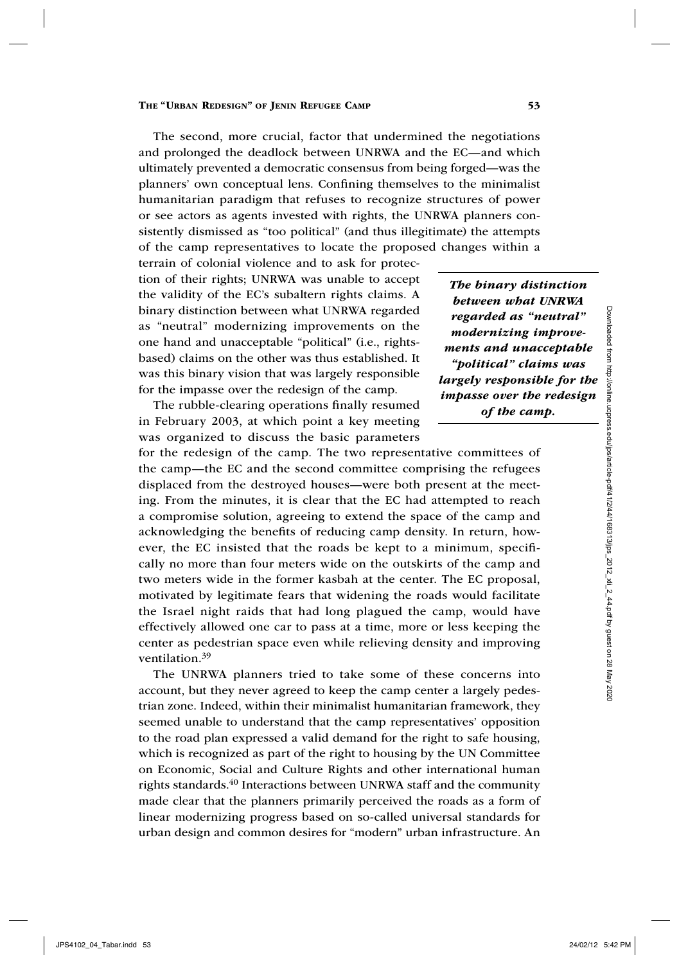The second, more crucial, factor that undermined the negotiations and prolonged the deadlock between UNRWA and the EC—and which ultimately prevented a democratic consensus from being forged—was the planners' own conceptual lens. Confining themselves to the minimalist humanitarian paradigm that refuses to recognize structures of power or see actors as agents invested with rights, the UNRWA planners consistently dismissed as "too political" (and thus illegitimate) the attempts of the camp representatives to locate the proposed changes within a

terrain of colonial violence and to ask for protection of their rights; UNRWA was unable to accept the validity of the EC's subaltern rights claims. A binary distinction between what UNRWA regarded as "neutral" modernizing improvements on the one hand and unacceptable "political" (i.e., rightsbased) claims on the other was thus established. It was this binary vision that was largely responsible for the impasse over the redesign of the camp.

The rubble-clearing operations finally resumed in February 2003, at which point a key meeting was organized to discuss the basic parameters

*The binary distinction between what UNRWA regarded as "neutral" modernizing improvements and unacceptable "political" claims was largely responsible for th impasse over the redesign of the camp.*

for the redesign of the camp. The two representative committees of the camp—the EC and the second committee comprising the refugees displaced from the destroyed houses—were both present at the meeting. From the minutes, it is clear that the EC had attempted to reach a compromise solution, agreeing to extend the space of the camp and acknowledging the benefits of reducing camp density. In return, however, the EC insisted that the roads be kept to a minimum, specifically no more than four meters wide on the outskirts of the camp and two meters wide in the former kasbah at the center. The EC proposal, motivated by legitimate fears that widening the roads would facilitate the Israel night raids that had long plagued the camp, would have effectively allowed one car to pass at a time, more or less keeping the center as pedestrian space even while relieving density and improving ventilation.39 binary distinction between what UNIWA regarded as *"neutral"* modernizing improvements on the *modernizing improvements* on the and an acceptable position ( $\log_{10}$ ). The means of the interpret based of chains on the othe

The UNRWA planners tried to take some of these concerns into account, but they never agreed to keep the camp center a largely pedestrian zone. Indeed, within their minimalist humanitarian framework, they seemed unable to understand that the camp representatives' opposition to the road plan expressed a valid demand for the right to safe housing, which is recognized as part of the right to housing by the UN Committee on Economic, Social and Culture Rights and other international human rights standards.<sup>40</sup> Interactions between UNRWA staff and the community made clear that the planners primarily perceived the roads as a form of linear modernizing progress based on so-called universal standards for urban design and common desires for "modern" urban infrastructure. An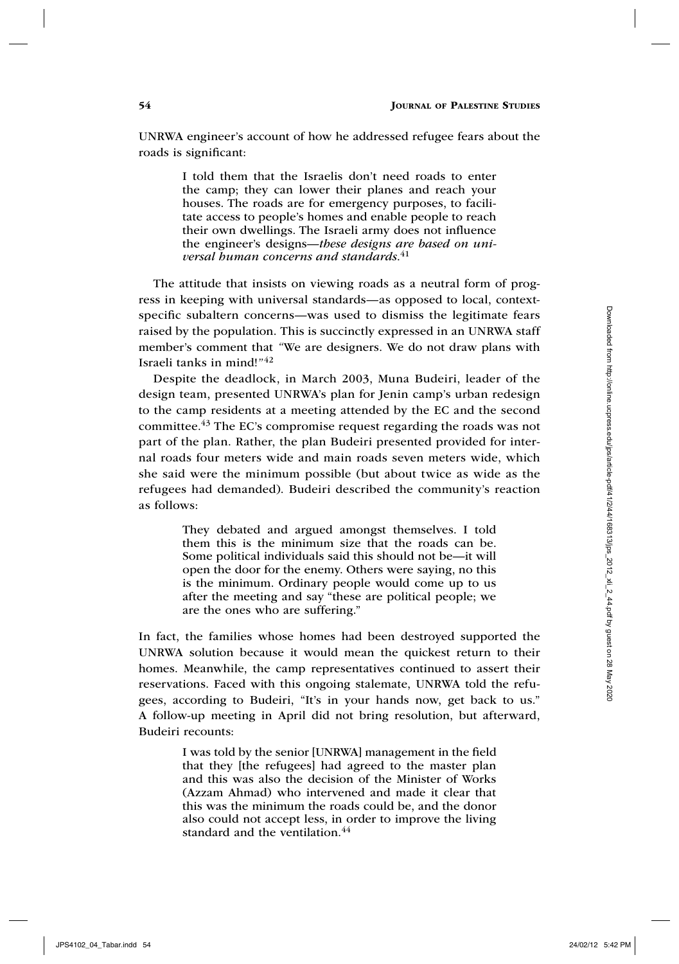UNRWA engineer's account of how he addressed refugee fears about the roads is significant:

> I told them that the Israelis don't need roads to enter the camp; they can lower their planes and reach your houses. The roads are for emergency purposes, to facilitate access to people's homes and enable people to reach their own dwellings. The Israeli army does not influence the engineer's designs—*these designs are based on universal human concerns and standards*. 41

The attitude that insists on viewing roads as a neutral form of progress in keeping with universal standards—as opposed to local, contextspecific subaltern concerns—was used to dismiss the legitimate fears raised by the population. This is succinctly expressed in an UNRWA staff member's comment that *"*We are designers. We do not draw plans with Israeli tanks in mind!*"* <sup>42</sup>

Despite the deadlock, in March 2003, Muna Budeiri, leader of the design team, presented UNRWA's plan for Jenin camp's urban redesign to the camp residents at a meeting attended by the EC and the second committee.<sup>43</sup> The EC's compromise request regarding the roads was not part of the plan. Rather, the plan Budeiri presented provided for internal roads four meters wide and main roads seven meters wide, which she said were the minimum possible (but about twice as wide as the refugees had demanded). Budeiri described the community's reaction as follows: specific solution concerns—was used to dismiss the legitimate frame concerns<br>then the state of smooth cases at minimate that "We are designers. We do not draw plans with<br>Isotheric transferred UNKWAs plan for plane and "New

They debated and argued amongst themselves. I told them this is the minimum size that the roads can be. Some political individuals said this should not be—it will open the door for the enemy. Others were saying, no this is the minimum. Ordinary people would come up to us after the meeting and say "these are political people; we are the ones who are suffering."

In fact, the families whose homes had been destroyed supported the UNRWA solution because it would mean the quickest return to their homes. Meanwhile, the camp representatives continued to assert their reservations. Faced with this ongoing stalemate, UNRWA told the refugees, according to Budeiri, "It's in your hands now, get back to us." A follow-up meeting in April did not bring resolution, but afterward, Budeiri recounts:

> I was told by the senior [UNRWA] management in the field that they [the refugees] had agreed to the master plan and this was also the decision of the Minister of Works (Azzam Ahmad) who intervened and made it clear that this was the minimum the roads could be, and the donor also could not accept less, in order to improve the living standard and the ventilation.<sup>44</sup>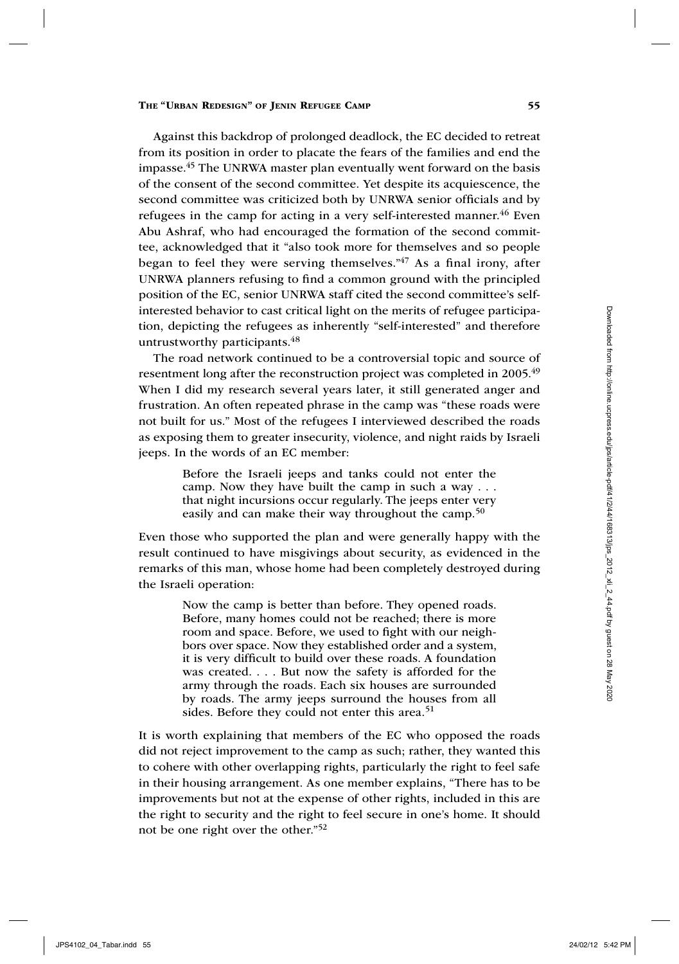Against this backdrop of prolonged deadlock, the EC decided to retreat from its position in order to placate the fears of the families and end the impasse.45 The UNRWA master plan eventually went forward on the basis of the consent of the second committee. Yet despite its acquiescence, the second committee was criticized both by UNRWA senior officials and by refugees in the camp for acting in a very self-interested manner.<sup>46</sup> Even Abu Ashraf, who had encouraged the formation of the second committee, acknowledged that it "also took more for themselves and so people began to feel they were serving themselves." $47$  As a final irony, after UNRWA planners refusing to find a common ground with the principled position of the EC, senior UNRWA staff cited the second committee's selfinterested behavior to cast critical light on the merits of refugee participation, depicting the refugees as inherently "self-interested" and therefore untrustworthy participants.<sup>48</sup>

The road network continued to be a controversial topic and source of resentment long after the reconstruction project was completed in 2005.<sup>49</sup> When I did my research several years later, it still generated anger and frustration. An often repeated phrase in the camp was "these roads were not built for us." Most of the refugees I interviewed described the roads as exposing them to greater insecurity, violence, and night raids by Israeli jeeps. In the words of an EC member: interested behavior to cast critical light on the merits of refuges particle-positive particles and therefore<br>throughout the particle of the constrained to be a controversial topic and source of<br>researnment long after the

Before the Israeli jeeps and tanks could not enter the camp. Now they have built the camp in such a way . . . that night incursions occur regularly. The jeeps enter very easily and can make their way throughout the camp.<sup>50</sup>

Even those who supported the plan and were generally happy with the result continued to have misgivings about security, as evidenced in the remarks of this man, whose home had been completely destroyed during the Israeli operation:

> Now the camp is better than before. They opened roads. Before, many homes could not be reached; there is more room and space. Before, we used to fight with our neighbors over space. Now they established order and a system, it is very difficult to build over these roads. A foundation was created. . . . But now the safety is afforded for the army through the roads. Each six houses are surrounded by roads. The army jeeps surround the houses from all sides. Before they could not enter this area.<sup>51</sup>

It is worth explaining that members of the EC who opposed the roads did not reject improvement to the camp as such; rather, they wanted this to cohere with other overlapping rights, particularly the right to feel safe in their housing arrangement. As one member explains, "There has to be improvements but not at the expense of other rights, included in this are the right to security and the right to feel secure in one's home. It should not be one right over the other."<sup>52</sup>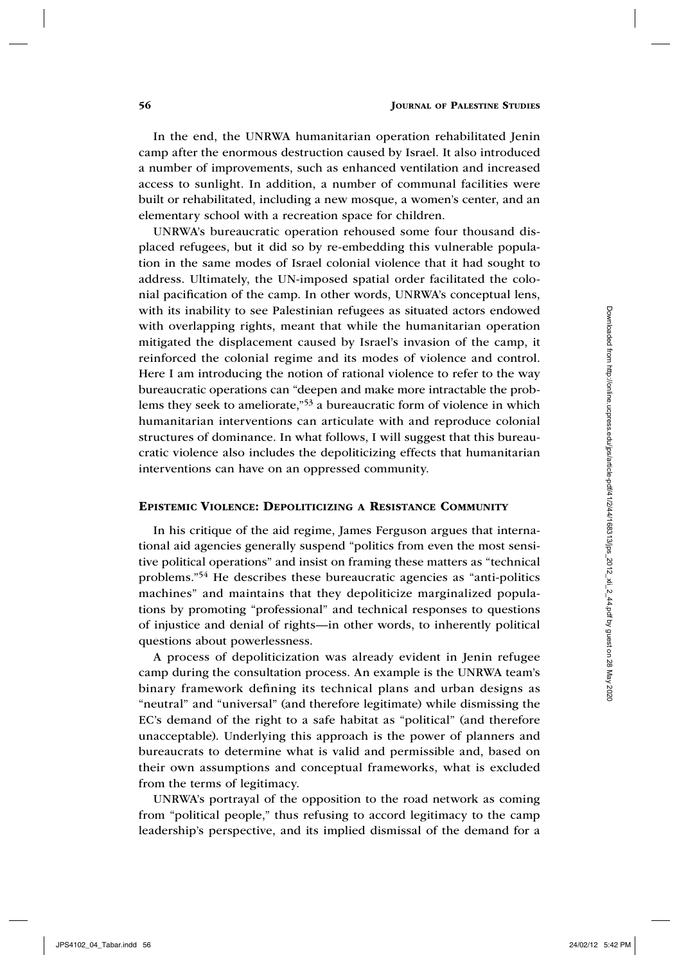In the end, the UNRWA humanitarian operation rehabilitated Jenin camp after the enormous destruction caused by Israel. It also introduced a number of improvements, such as enhanced ventilation and increased access to sunlight. In addition, a number of communal facilities were built or rehabilitated, including a new mosque, a women's center, and an elementary school with a recreation space for children.

UNRWA's bureaucratic operation rehoused some four thousand displaced refugees, but it did so by re-embedding this vulnerable population in the same modes of Israel colonial violence that it had sought to address. Ultimately, the UN-imposed spatial order facilitated the colonial pacification of the camp. In other words, UNRWA's conceptual lens, with its inability to see Palestinian refugees as situated actors endowed with overlapping rights, meant that while the humanitarian operation mitigated the displacement caused by Israel's invasion of the camp, it reinforced the colonial regime and its modes of violence and control. Here I am introducing the notion of rational violence to refer to the way bureaucratic operations can "deepen and make more intractable the problems they seek to ameliorate,<sup>"53</sup> a bureaucratic form of violence in which humanitarian interventions can articulate with and reproduce colonial structures of dominance. In what follows, I will suggest that this bureaucratic violence also includes the depoliticizing effects that humanitarian interventions can have on an oppressed community. with its imability to see Palestinian refugees as situated actors endowed<br>minigrated the displacement caused by Israels's invasion of the camp, it<br>reinforced the colonial regime and its modes of violence and control.<br>Here

# Epistemic Violence: Depoliticizing a Resistance Community

In his critique of the aid regime, James Ferguson argues that international aid agencies generally suspend "politics from even the most sensitive political operations" and insist on framing these matters as "technical problems."54 He describes these bureaucratic agencies as "anti-politics machines" and maintains that they depoliticize marginalized populations by promoting "professional" and technical responses to questions of injustice and denial of rights—in other words, to inherently political questions about powerlessness.

A process of depoliticization was already evident in Jenin refugee camp during the consultation process. An example is the UNRWA team's binary framework defining its technical plans and urban designs as "neutral" and "universal" (and therefore legitimate) while dismissing the EC's demand of the right to a safe habitat as "political" (and therefore unacceptable). Underlying this approach is the power of planners and bureaucrats to determine what is valid and permissible and, based on their own assumptions and conceptual frameworks, what is excluded from the terms of legitimacy.

UNRWA's portrayal of the opposition to the road network as coming from "political people," thus refusing to accord legitimacy to the camp leadership's perspective, and its implied dismissal of the demand for a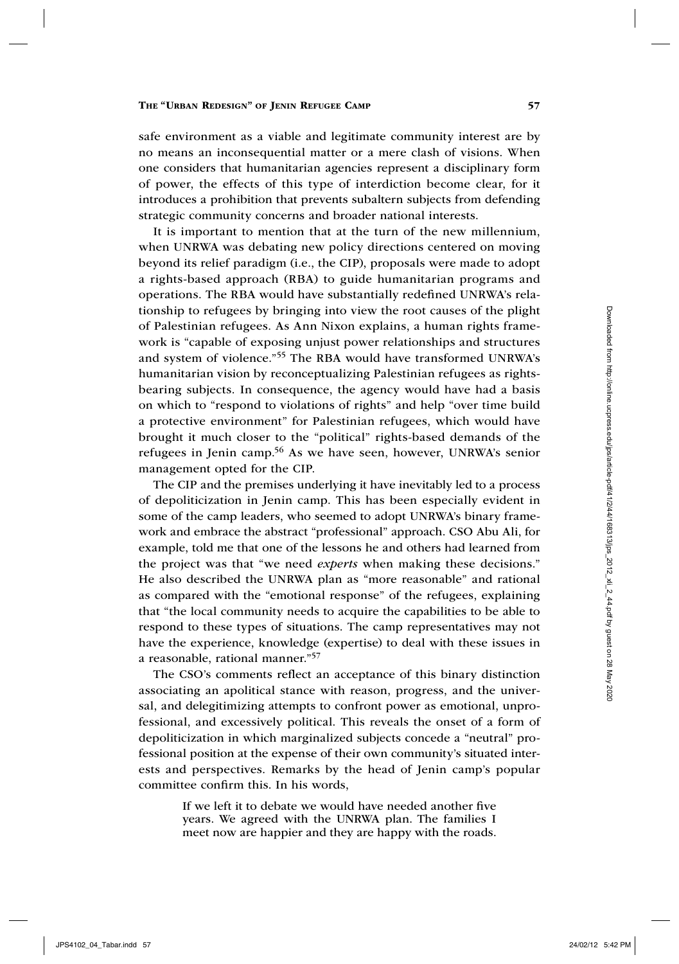safe environment as a viable and legitimate community interest are by no means an inconsequential matter or a mere clash of visions. When one considers that humanitarian agencies represent a disciplinary form of power, the effects of this type of interdiction become clear, for it introduces a prohibition that prevents subaltern subjects from defending strategic community concerns and broader national interests.

It is important to mention that at the turn of the new millennium, when UNRWA was debating new policy directions centered on moving beyond its relief paradigm (i.e., the CIP), proposals were made to adopt a rights-based approach (RBA) to guide humanitarian programs and operations. The RBA would have substantially redefined UNRWA's relationship to refugees by bringing into view the root causes of the plight of Palestinian refugees. As Ann Nixon explains, a human rights framework is "capable of exposing unjust power relationships and structures and system of violence."55 The RBA would have transformed UNRWA's humanitarian vision by reconceptualizing Palestinian refugees as rightsbearing subjects. In consequence, the agency would have had a basis on which to "respond to violations of rights" and help "over time build a protective environment" for Palestinian refugees, which would have brought it much closer to the "political" rights-based demands of the refugees in Jenin camp.56 As we have seen, however, UNRWA's senior management opted for the CIP.

The CIP and the premises underlying it have inevitably led to a process of depoliticization in Jenin camp. This has been especially evident in some of the camp leaders, who seemed to adopt UNRWA's binary framework and embrace the abstract "professional" approach. CSO Abu Ali, for example, told me that one of the lessons he and others had learned from the project was that "we need *experts* when making these decisions." He also described the UNRWA plan as "more reasonable" and rational as compared with the "emotional response" of the refugees, explaining that "the local community needs to acquire the capabilities to be able to respond to these types of situations. The camp representatives may not have the experience, knowledge (expertise) to deal with these issues in a reasonable, rational manner."<sup>57</sup> if the positive in error is expanding that wive the root causes of the plight of sterahlis of exposing unitary cover that is expanding the constrained system of violence, <sup>55</sup> The RBA would have transformed UNRWA's humanit

The CSO's comments reflect an acceptance of this binary distinction associating an apolitical stance with reason, progress, and the universal, and delegitimizing attempts to confront power as emotional, unprofessional, and excessively political. This reveals the onset of a form of depoliticization in which marginalized subjects concede a "neutral" professional position at the expense of their own community's situated interests and perspectives. Remarks by the head of Jenin camp's popular committee confirm this. In his words,

> If we left it to debate we would have needed another five years. We agreed with the UNRWA plan. The families I meet now are happier and they are happy with the roads.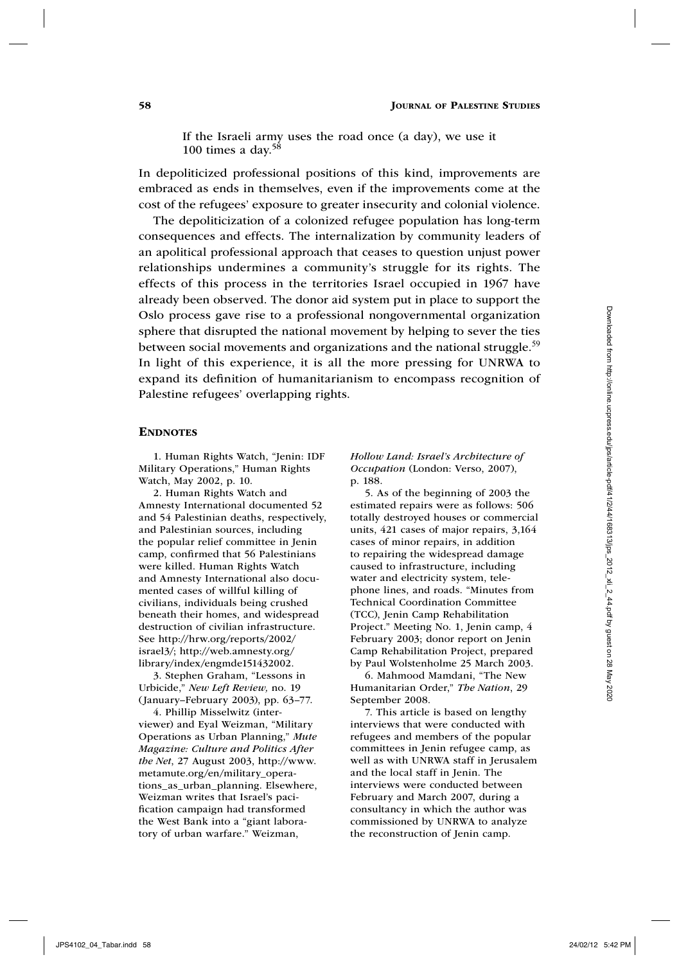If the Israeli army uses the road once (a day), we use it 100 times a day. $58$ 

In depoliticized professional positions of this kind, improvements are embraced as ends in themselves, even if the improvements come at the cost of the refugees' exposure to greater insecurity and colonial violence.

The depoliticization of a colonized refugee population has long-term consequences and effects. The internalization by community leaders of an apolitical professional approach that ceases to question unjust power relationships undermines a community's struggle for its rights. The effects of this process in the territories Israel occupied in 1967 have already been observed. The donor aid system put in place to support the Oslo process gave rise to a professional nongovernmental organization sphere that disrupted the national movement by helping to sever the ties between social movements and organizations and the national struggle.<sup>59</sup> In light of this experience, it is all the more pressing for UNRWA to expand its definition of humanitarianism to encompass recognition of Palestine refugees' overlapping rights. Oslo process gave rise to a professional nongovernmental organizations<br>sphere that disrupted the national novements yard organizations and the national struggle.<sup>59</sup><br>In light of this experience, it is all the more pressin

# **ENDNOTES**

1. Human Rights Watch, "Jenin: IDF Military Operations," Human Rights Watch, May 2002, p. 10.

2. Human Rights Watch and Amnesty International documented 52 and 54 Palestinian deaths, respectively, and Palestinian sources, including the popular relief committee in Jenin camp, confirmed that 56 Palestinians were killed. Human Rights Watch and Amnesty International also documented cases of willful killing of civilians, individuals being crushed beneath their homes, and widespread destruction of civilian infrastructure. See http://hrw.org/reports/2002/ israel3/; http://web.amnesty.org/ library/index/engmde151432002.

3. Stephen Graham, "Lessons in Urbicide," *New Left Review,* no. 19 (January–February 2003), pp. 63–77.

4. Phillip Misselwitz (interviewer) and Eyal Weizman, "Military Operations as Urban Planning," *Mute Magazine: Culture and Politics After the Net*, 27 August 2003, http://www. metamute.org/en/military\_operations\_as\_urban\_planning. Elsewhere, Weizman writes that Israel's pacification campaign had transformed the West Bank into a "giant laboratory of urban warfare." Weizman,

*Hollow Land: Israel's Architecture of Occupation* (London: Verso, 2007), p. 188.

5. As of the beginning of 2003 the estimated repairs were as follows: 506 totally destroyed houses or commercial units, 421 cases of major repairs, 3,164 cases of minor repairs, in addition to repairing the widespread damage caused to infrastructure, including water and electricity system, telephone lines, and roads. "Minutes from Technical Coordination Committee (TCC), Jenin Camp Rehabilitation Project." Meeting No. 1, Jenin camp, 4 February 2003; donor report on Jenin Camp Rehabilitation Project, prepared by Paul Wolstenholme 25 March 2003.

6. Mahmood Mamdani, "The New Humanitarian Order," *The Nation*, 29 September 2008.

7. This article is based on lengthy interviews that were conducted with refugees and members of the popular committees in Jenin refugee camp, as well as with UNRWA staff in Jerusalem and the local staff in Jenin. The interviews were conducted between February and March 2007, during a consultancy in which the author was commissioned by UNRWA to analyze the reconstruction of Jenin camp.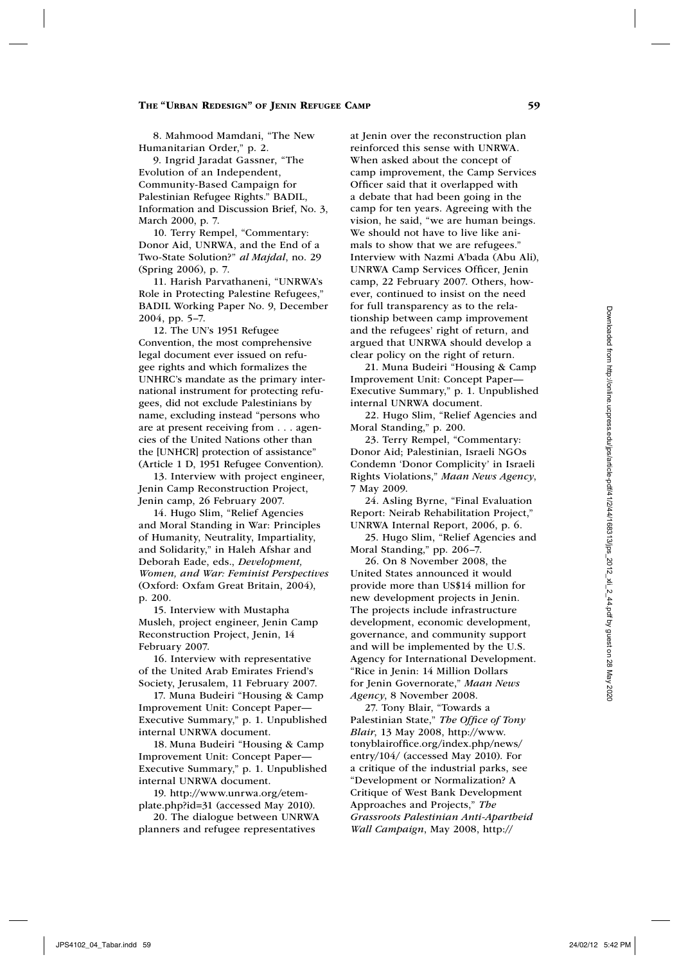8. Mahmood Mamdani, "The New Humanitarian Order," p. 2.

9. Ingrid Jaradat Gassner, "The Evolution of an Independent, Community-Based Campaign for Palestinian Refugee Rights." BADIL, Information and Discussion Brief, No. 3, March 2000, p. 7.

10. Terry Rempel, "Commentary: Donor Aid, UNRWA, and the End of a Two-State Solution?" *al Majdal*, no. 29 (Spring 2006), p. 7.

11. Harish Parvathaneni, "UNRWA's Role in Protecting Palestine Refugees," BADIL Working Paper No. 9, December 2004, pp. 5–7.

12. The UN's 1951 Refugee Convention, the most comprehensive legal document ever issued on refugee rights and which formalizes the UNHRC's mandate as the primary international instrument for protecting refugees, did not exclude Palestinians by name, excluding instead "persons who are at present receiving from . . . agencies of the United Nations other than the [UNHCR] protection of assistance" (Article 1 D, 1951 Refugee Convention). 49 2004. The mean term is the state of the state of the state of the state of the state of the state of the state of the state of the state of the state of the state of the state of the state of the state of the state of

13. Interview with project engineer, Jenin Camp Reconstruction Project, Jenin camp, 26 February 2007.

14. Hugo Slim, "Relief Agencies and Moral Standing in War: Principles of Humanity, Neutrality, Impartiality, and Solidarity," in Haleh Afshar and Deborah Eade, eds., *Development, Women, and War: Feminist Perspectives* (Oxford: Oxfam Great Britain, 2004), p. 200.

15. Interview with Mustapha Musleh, project engineer, Jenin Camp Reconstruction Project, Jenin, 14 February 2007.

16. Interview with representative of the United Arab Emirates Friend's Society, Jerusalem, 11 February 2007.

17. Muna Budeiri "Housing & Camp Improvement Unit: Concept Paper— Executive Summary," p. 1. Unpublished internal UNRWA document.

18. Muna Budeiri "Housing & Camp Improvement Unit: Concept Paper— Executive Summary," p. 1. Unpublished internal UNRWA document.

19. http://www.unrwa.org/etemplate.php?id=31 (accessed May 2010).

20. The dialogue between UNRWA planners and refugee representatives

at Jenin over the reconstruction plan reinforced this sense with UNRWA. When asked about the concept of camp improvement, the Camp Services Officer said that it overlapped with a debate that had been going in the camp for ten years. Agreeing with the vision, he said, "we are human beings. We should not have to live like animals to show that we are refugees." Interview with Nazmi A'bada (Abu Ali), UNRWA Camp Services Officer, Jenin camp, 22 February 2007. Others, however, continued to insist on the need for full transparency as to the relationship between camp improvement and the refugees' right of return, and argued that UNRWA should develop a clear policy on the right of return.

21. Muna Budeiri "Housing & Camp Improvement Unit: Concept Paper— Executive Summary," p. 1. Unpublished internal UNRWA document.

22. Hugo Slim, "Relief Agencies and Moral Standing," p. 200.

23. Terry Rempel, "Commentary: Donor Aid; Palestinian, Israeli NGOs Condemn 'Donor Complicity' in Israeli Rights Violations," *Maan News Agency*, 7 May 2009.

24. Asling Byrne, "Final Evaluation Report: Neirab Rehabilitation Project," UNRWA Internal Report, 2006, p. 6.

25. Hugo Slim, "Relief Agencies and Moral Standing," pp. 206–7.

26. On 8 November 2008, the United States announced it would provide more than US\$14 million for new development projects in Jenin. The projects include infrastructure development, economic development, governance, and community support and will be implemented by the U.S. Agency for International Development. "Rice in Jenin: 14 Million Dollars for Jenin Governorate," *Maan News Agency*, 8 November 2008.

27. Tony Blair, "Towards a Palestinian State," *The Office of Tony Blair*, 13 May 2008, http://www. tonyblairoffice.org/index.php/news/ entry/104/ (accessed May 2010). For a critique of the industrial parks, see "Development or Normalization? A Critique of West Bank Development Approaches and Projects," *The Grassroots Palestinian Anti-Apartheid Wall Campaign*, May 2008, http://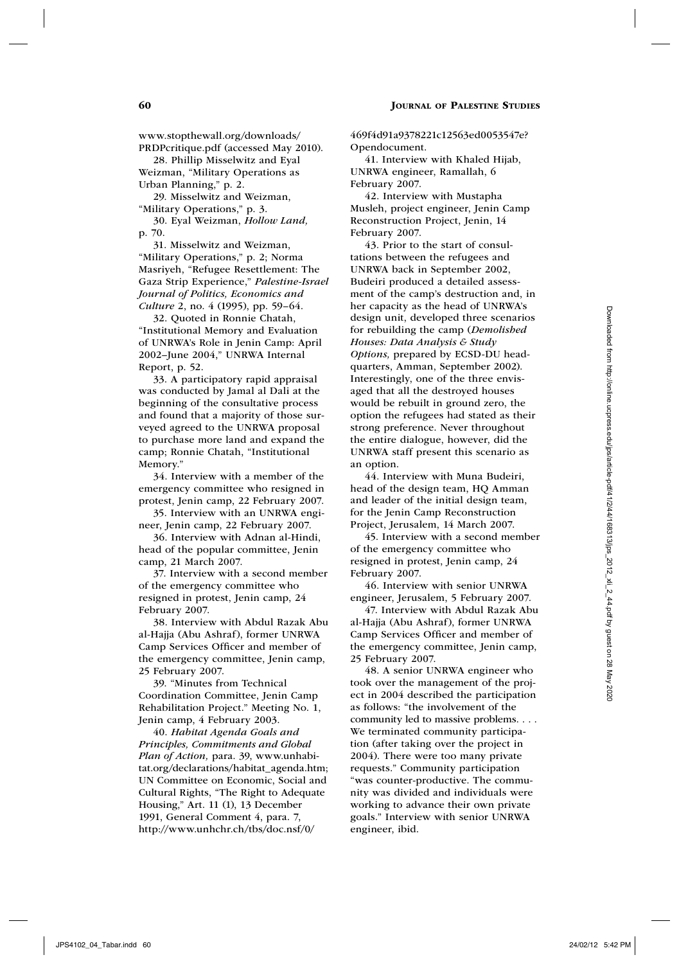www.stopthewall.org/downloads/

PRDPcritique.pdf (accessed May 2010). 28. Phillip Misselwitz and Eyal

Weizman, "Military Operations as Urban Planning," p. 2.

29. Misselwitz and Weizman, "Military Operations," p. 3.

30. Eyal Weizman, *Hollow Land,* p. 70.

31. Misselwitz and Weizman, "Military Operations," p. 2; Norma Masriyeh, "Refugee Resettlement: The Gaza Strip Experience," *Palestine-Israel Journal of Politics, Economics and Culture* 2, no. 4 (1995), pp. 59–64.

32. Quoted in Ronnie Chatah, "Institutional Memory and Evaluation of UNRWA's Role in Jenin Camp: April 2002–June 2004," UNRWA Internal Report, p. 52.

33. A participatory rapid appraisal was conducted by Jamal al Dali at the beginning of the consultative process and found that a majority of those surveyed agreed to the UNRWA proposal to purchase more land and expand the camp; Ronnie Chatah, "Institutional Memory."

34. Interview with a member of the emergency committee who resigned in protest, Jenin camp, 22 February 2007.

35. Interview with an UNRWA engineer, Jenin camp, 22 February 2007.

36. Interview with Adnan al-Hindi, head of the popular committee, Jenin camp, 21 March 2007.

37. Interview with a second member of the emergency committee who resigned in protest, Jenin camp, 24 February 2007.

38. Interview with Abdul Razak Abu al-Hajja (Abu Ashraf), former UNRWA Camp Services Officer and member of the emergency committee, Jenin camp, 25 February 2007.

39. "Minutes from Technical Coordination Committee, Jenin Camp Rehabilitation Project." Meeting No. 1, Jenin camp, 4 February 2003.

40. *Habitat Agenda Goals and Principles, Commitments and Global Plan of Action,* para. 39, www.unhabitat.org/declarations/habitat\_agenda.htm; UN Committee on Economic, Social and Cultural Rights, "The Right to Adequate Housing," Art. 11 (1), 13 December 1991, General Comment 4, para. 7, http://www.unhchr.ch/tbs/doc.nsf/0/

469f4d91a9378221c12563ed0053547e? Opendocument.

41. Interview with Khaled Hijab, UNRWA engineer, Ramallah, 6 February 2007.

42. Interview with Mustapha Musleh, project engineer, Jenin Camp Reconstruction Project, Jenin, 14 February 2007.

43. Prior to the start of consultations between the refugees and UNRWA back in September 2002, Budeiri produced a detailed assessment of the camp's destruction and, in her capacity as the head of UNRWA's design unit, developed three scenarios for rebuilding the camp (*Demolished Houses: Data Analysis & Study Options,* prepared by ECSD-DU headquarters, Amman, September 2002). Interestingly, one of the three envisaged that all the destroyed houses would be rebuilt in ground zero, the option the refugees had stated as their strong preference. Never throughout the entire dialogue, however, did the UNRWA staff present this scenario as an option.

44. Interview with Muna Budeiri, head of the design team, HQ Amman and leader of the initial design team, for the Jenin Camp Reconstruction Project, Jerusalem, 14 March 2007.

45. Interview with a second member of the emergency committee who resigned in protest, Jenin camp, 24 February 2007.

46. Interview with senior UNRWA engineer, Jerusalem, 5 February 2007.

47. Interview with Abdul Razak Abu al-Hajja (Abu Ashraf), former UNRWA Camp Services Officer and member of the emergency committee, Jenin camp, 25 February 2007.

48. A senior UNRWA engineer who took over the management of the project in 2004 described the participation as follows: "the involvement of the community led to massive problems. . . . We terminated community participation (after taking over the project in 2004). There were too many private requests." Community participation "was counter-productive. The community was divided and individuals were working to advance their own private goals." Interview with senior UNRWA engineer, ibid. 42. Tabar.indd 16 26/02 February 2007.<br>
24 Caucal Cabar. The state of the state of the state of the state of the state of the state of the state of the interval Hamiltonian (Figure 2004, 1 PMWA) Figure 2004, 1 PMWA) Figu